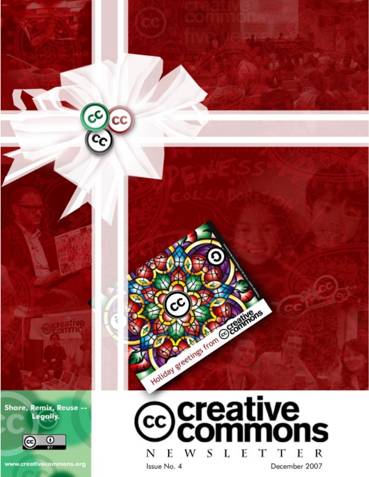

N

Issue No. 4

 $E$  W S

L



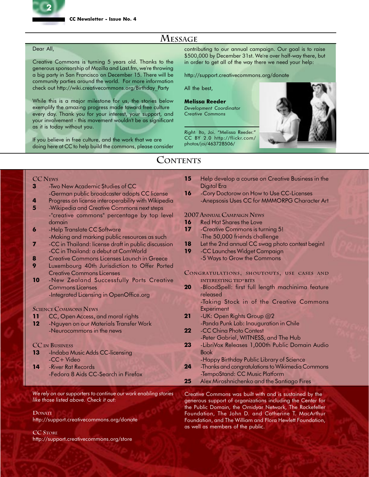

### **MESSAGE**

#### Dear All,

Creative Commons is turning 5 years old. Thanks to the generous sponsorship of Mozilla and Last.fm, we're throwing a big party in San Francisco on December 15. There will be community parties around the world. For more information check out http://wiki.creativecommons.org/Birthday\_Party

While this is a major milestone for us, the stories below exemplify the amazing progress made toward free culture every day. Thank you for your interest, your support, and your involvement - this movement wouldn't be as significant as it is today without you.

If you believe in free culture, and the work that we are doing here at CC to help build the commons, please consider contributing to our annual campaign. Our goal is to raise \$500,000 by December 31st. We're over half-way there, but in order to get all of the way there we need your help:

http://support.creativecommons.org/donate

All the best,

#### Melissa Reeder

Development Coordinator Creative Commons

Right: Ito, Joi. "Melissa Reeder." CC BY 2.0 http://flickr.com/ photos/joi/463728506/



### **CONTENTS**

#### CC NEWS

- 3 Two New Academic Studies of CC -German public broadcaster adopts CC license
- **4** Progress on license interoperability with Wikipedia
- 5 -Wikipedia and Creative Commons next steps -"creative commons" percentage by top level domain
- **6** Help Translate CC Software
- -Making and marking public resources as such
- 7 -CC in Thailand: license draft in public discussion -CC in Thailand: a debut at ComWorld
- 8 Creative Commons Licenses Launch in Greece
- 9 Luxembourg 40th Jurisdiction to Offer Ported Creative Commons Licenses
- 10 -New Zealand Successfully Ports Creative Commons Licenses -Integrated Licensing in OpenOffice.org

SCIENCE COMMONS NEWS

- 11 CC, Open Access, and moral rights
- 12 Nguyen on our Materials Transfer Work -Neurocommons in the news

#### CC IN BUSINESS

- 13 -Indaba Music Adds CC-licensing -CC+ Video
- 14 River Rat Records -Fedora 8 Aids CC-Search in Firefox

We rely on our supporters to continue our work enabling stories like those listed above. Check it out:

#### **DONATE**

http://support.creativecommons.org/donate

#### CC STORE http://support.creativecommons.org/store

- 15 Help develop a course on Creative Business in the Digital Era
- 16 Cory Doctorow on How to Use CC-Licenses -Anepsosis Uses CC for MMMORPG Character Art

#### 2007 ANNUAL CAMPAIGN NEWS

- 16 Red Hat Shares the Love
- 17 Creative Commons is turning 5! -The 50,000 friends challenge
- 18 Let the 2nd annual CC swag photo contest begin!
- 19 CC Launches Widget Campaign -5 Ways to Grow the Commons
- CONGRATULATIONS, SHOUTOUTS, USE CASES AND INTERESTING TID-BITS
- 20 -BloodSpell: first full length machinima feature released

-Taking Stock in of the Creative Commons **Experiment** 

- 21 UK: Open Rights Group @2 -Panda Punk Lab: Inauguration in Chile
- 22 CC China Photo Contest -Peter Gabriel, WITNESS, and The Hub
- 23 -LibriVox Releases 1,000th Public Domain Audio Book
- -Happy Birthday Public Library of Science
- 24 -Thanks and congratulations to Wikimedia Commons -TempoStand: CC Music Platform
- 25 Alex Miroshnichenko and the Santiago Fires

Creative Commons was built with and is sustained by the generous support of organizations including the Center for the Public Domain, the Omidyar Network, The Rockefeller Foundation, The John D. and Catherine T. MacArthur Foundation, and The William and Flora Hewlett Foundation, as well as members of the public.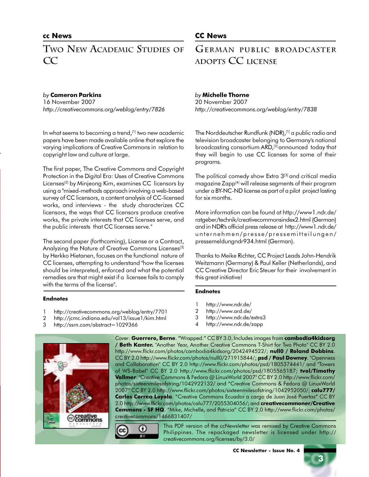## TWO NEW ACADEMIC STUDIES OF  $CC$

#### by Cameron Parkins 16 November 2007 http://creativecommons.org/weblog/entry/7826

In what seems to becoming a trend,<sup>[1]</sup> two new academic papers have been made available online that explore the varying implications of Creative Commons in relation to copyright law and culture at large.

The first paper, The Creative Commons and Copyright Protection in the Digital Era: Uses of Creative Commons Licenses<sup>[2]</sup> by Minjeong Kim, examines CC licensors by using a "mixed-methods approach involving a web-based survey of CC licensors, a content analysis of CC-licensed works, and interviews - the study characterizes CC licensors, the ways that CC licensors produce creative works, the private interests that CC licenses serve, and the public interests that CC licenses serve."

The second paper (forthcoming), License or a Contract, Analyzing the Nature of Creative Commons Licenses<sup>[3]</sup> by Herkko Hietanen, focuses on the functional nature of CC licenses, attempting to understand "how the licenses should be interpreted, enforced and what the potential remedies are that might exist if a licensee fails to comply with the terms of the license".

#### **Endnotes**

- 1 http://creativecommons.org/weblog/entry/7701
- 2 http://jcmc.indiana.edu/vol13/issue1/kim.html
- 3 http://ssrn.com/abstract=1029366



### CC News

## GERMAN PUBLIC BROADCASTER ADOPTS CC LICENSE

### by Michelle Thorne

20 November 2007 http://creativecommons.org/weblog/entry/7838

The Norddeutscher Rundfunk (NDR),[1] a public radio and television broadcaster belonging to Germany's national broadcasting consortium ARD,[2] announced today that they will begin to use CC licenses for some of their programs.

The political comedy show Extra 3<sup>[3]</sup> and critical media magazine Zapp[4] will release segments of their program under a BY-NC-ND license as part of a pilot project lasting for six months.

More information can be found at http://www1.ndr.de/ ratgeber/technik/creativecommonsindex2.html (German) and in NDR's official press release at http://www1.ndr.de/ unternehmen/presse/pressemitteilungen/ pressemeldungndr934.html (German).

Thanks to Meike Richter, CC Project Leads John-Hendrik Weitzmann (Germany) & Paul Keller (Netherlands), and CC Creative Director Eric Steuer for their involvement in this great initiative!

#### **Endnotes**

- 1 http://www.ndr.de/<br>2 http://www.ard.de/
- 2 http://www.ard.de/
- 3 http://www.ndr.de/extra3
- 4 http://www.ndr.de/zapp

Cover: Guerrero, Berne. "Wrapped." CC BY 3.0. Includes images from cambodia4kidsorg **/ Beth Kanter.** "Another Year, Another Creative Commons T-Shirt for Two Photo" CC BY 2.0 http://www.flickr.com/photos/cambodia4kidsorg/2042494522/; null0 / Roland Dobbins. CC BY 2.0 http://www.flickr.com/photos/null0/271915844/; psd / Paul Downey. "Openness and Collaboration" CC BY 2.0 http://www.flickr.com/photos/psd/1805374441/ and "Towers of WS-Babel" CC BY 2.0 http://www.flickr.com/photos/psd/1805565187; tvol/Timothy Vollmer. "Creative Commons & Fedora @ LinuxWorld 2007" CC BY 2.0 http://www.flickr.com/ photos/sixteenmilesofstring/1042922132/ and "Creative Commons & Fedora @ LinuxWorld 2007" CC BY 2.0 http://www.flickr.com/photos/sixteenmilesofstring/1042952050/; calu777/ Carlos Correa Loyola. "Creative Commons Ecuador a cargo de Juan José Puertas" CC BY 2.0 http://www.flickr.com/photos/calu777/2055304056/; and creativecommoner/Creative Commons - SF HQ. "Mike, Michelle, and Patricia" CC BY 2.0 http://www.flickr.com/photos/ creativecommons/1466831407/



This PDF version of the ccNewsletter was remixed by Creative Commons Philippines. The repackaged newsletter is licensed under http:// creativecommons.org/licenses/by/3.0/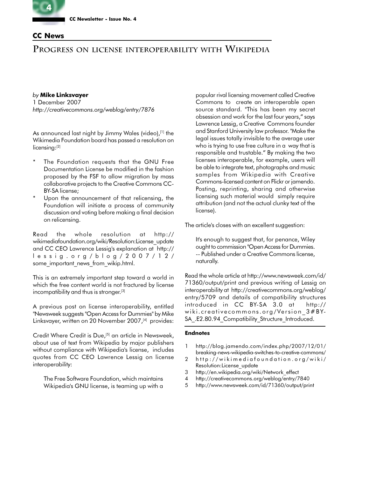

### CC News

## PROGRESS ON LICENSE INTEROPERABILITY WITH WIKIPEDIA

#### by Mike Linksvayer

1 December 2007 http://creativecommons.org/weblog/entry/7876

As announced last night by Jimmy Wales (video), [1] the Wikimedia Foundation board has passed a resolution on licensing:[2]

- The Foundation requests that the GNU Free Documentation License be modified in the fashion proposed by the FSF to allow migration by mass collaborative projects to the Creative Commons CC-BY-SA license;
- Upon the announcement of that relicensing, the Foundation will initiate a process of community discussion and voting before making a final decision on relicensing.

Read the whole resolution at http:// wikimediafoundation.org/wiki/Resolution:License\_update and CC CEO Lawrence Lessig's explanation at http:// lessig.org/blog/2007/12/ some important news from wikip.html.

This is an extremely important step toward a world in which the free content world is not fractured by license incompatibility and thus is stronger.<sup>[3]</sup>

A previous post on license interoperability, entitled "Newsweek suggests "Open Access for Dummies" by Mike Linksvayer, written on 20 November 2007,[4] provides:

Credit Where Credit is Due,<sup>[5]</sup> an article in Newsweek, about use of text from Wikipedia by major publishers without compliance with Wikipedia's license, includes quotes from CC CEO Lawrence Lessig on license interoperability:

The Free Software Foundation, which maintains Wikipedia's GNU license, is teaming up with a popular rival licensing movement called Creative Commons to create an interoperable open source standard. "This has been my secret obsession and work for the last four years," says Lawrence Lessig, a Creative Commons founder and Stanford University law professor. "Make the legal issues totally invisible to the average user who is trying to use free culture in a way that is responsible and trustable." By making the two licenses interoperable, for example, users will be able to integrate text, photographs and music samples from Wikipedia with Creative Commons-licensed content on Flickr or jamendo. Posting, reprinting, sharing and otherwise licensing such material would simply require attribution (and not the actual clunky text of the license).

The article's closes with an excellent suggestion:

It's enough to suggest that, for penance, Wiley ought to commission "Open Access for Dummies. -- Published under a Creative Commons license, naturally.

Read the whole article at http://www.newsweek.com/id/ 71360/output/print and previous writing of Lessig on interoperability at http://creativecommons.org/weblog/ entry/5709 and details of compatibility structures introduced in CC BY-SA 3.0 at http:// wiki.creativecommons.org/Version  $3#BY-$ SA .E2.80.94\_Compatibility\_Structure\_Introduced.

- 1 http://blog.jamendo.com/index.php/2007/12/01/ breaking-news-wikipedia-switches-to-creative-commons/
- 2 http://wikimediafoundation.org/wiki/ Resolution:License\_update
- 3 http://en.wikipedia.org/wiki/Network\_effect
- 4 http://creativecommons.org/weblog/entry/7840
- 5 http://www.newsweek.com/id/71360/output/print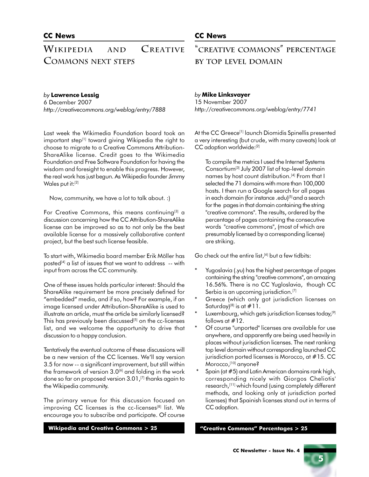## WIKIPEDIA AND CREATIVE COMMONS NEXT STEPS

by Lawrence Lessig 6 December 2007 http://creativecommons.org/weblog/entry/7888

Last week the Wikimedia Foundation board took an important step<sup>[1]</sup> toward giving Wikipedia the right to choose to migrate to a Creative Commons Attribution-ShareAlike license. Credit goes to the Wikimedia Foundation and Free Software Foundation for having the wisdom and foresight to enable this progress. However, the real work has just begun. As Wikipedia founder Jimmy Wales put it:[2]

Now, community, we have a lot to talk about. :)

For Creative Commons, this means continuing<sup>[3]</sup> a discussion concerning how the CC Attribution-ShareAlike license can be improved so as to not only be the best available license for a massively collaborative content project, but the best such license feasible.

To start with, Wikimedia board member Erik Möller has posted<sup>[4]</sup> a list of issues that we want to address  $-$ - with input from across the CC community.

One of these issues holds particular interest: Should the ShareAlike requirement be more precisely defined for "embedded" media, and if so, how? For example, if an image licensed under Attribution-ShareAlike is used to illustrate an article, must the article be similarly licensed? This has previously been discussed<sup>[5]</sup> on the cc-licenses list, and we welcome the opportunity to drive that discussion to a happy conclusion.

Tentatively the eventual outcome of these discussions will be a new version of the CC licenses. We'll say version 3.5 for now -- a significant improvement, but still within the framework of version  $3.0^{6}$  and folding in the work done so far on proposed version 3.01,[7] thanks again to the Wikipedia community.

The primary venue for this discussion focused on improving CC licenses is the cc-licenses<sup>[8]</sup> list. We encourage you to subscribe and participate. Of course

Wikipedia and Creative Commons > 25

### CC News

## "CREATIVE COMMONS" PERCENTAGE BY TOP LEVEL DOMAIN

### by Mike Linksvayer

15 November 2007 http://creativecommons.org/weblog/entry/7741

At the CC Greece<sup>[1]</sup> launch Diomidis Spinellis presented a very interesting (but crude, with many caveats) look at CC adoption worldwide:[2]

To compile the metrics I used the Internet Systems Consortium[3] July 2007 list of top-level domain names by host count distribution.[4] From that I selected the 71 domains with more than 100,000 hosts. I then run a Google search for all pages in each domain (for instance .edu)[5] and a search for the pages in that domain containing the string "creative commons". The results, ordered by the percentage of pages containing the consecutive words "creative commons", (most of which are presumably licensed by a corresponding license) are striking.

Go check out the entire list,<sup>[6]</sup> but a few tidbits:

- Yugoslavia (.yu) has the highest percentage of pages containing the string "creative commons", an amazing 16.56%. There is no CC Yugloslavia, though CC Serbia is an upcoming jurisdiction.<sup>[7]</sup>
- Greece (which only got jurisdiction licenses on Saturday)<sup>[8]</sup> is at  $#11$ .
- Luxembourg, which gets jurisdiction licenses today,<sup>[9]</sup> follows at #12.
- Of course "unported" licenses are available for use anywhere, and apparently are being used heavily in places without jurisdiction licenses. The next ranking top level domain without corresponding launched CC jurisdiction ported licenses is Morocco, at #15. CC Morocco, [10] anyone?
- Spain (at #5) and Latin American domains rank high, corresponding nicely with Giorgos Cheliotis' research,[11] which found (using completely different methods, and looking only at jurisdiction ported licenses) that Spainish licenses stand out in terms of CC adoption.

"Creative Commons" Percentages > 25



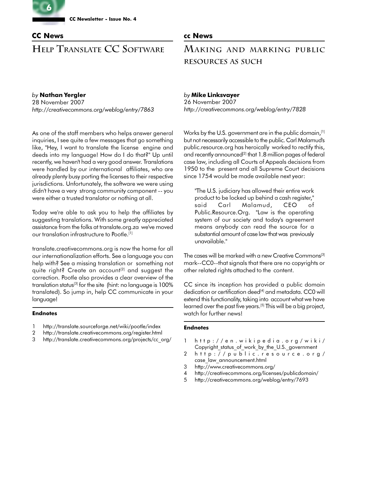

## CC News

## HELP TRANSLATE CC SOFTWARE

by Nathan Yergler 28 November 2007 http://creativecommons.org/weblog/entry/7863

As one of the staff members who helps answer general inquiries, I see quite a few messages that go something like, "Hey, I want to translate the license engine and deeds into my language! How do I do that?" Up until recently, we haven't had a very good answer. Translations were handled by our international affiliates, who are already plenty busy porting the licenses to their respective jurisdictions. Unfortunately, the software we were using didn't have a very strong community component -- you were either a trusted translator or nothing at all.

Today we're able to ask you to help the affiliates by suggesting translations. With some greatly appreciated assistance from the folks at translate.org.za we've moved our translation infrastructure to Pootle.[1]

translate.creativecommons.org is now the home for all our internationalization efforts. See a language you can help with? See a missing translation or something not quite right? Create an account<sup>[2]</sup> and suggest the correction. Pootle also provides a clear overview of the translation status<sup>[3]</sup> for the site (hint: no language is 100% translated). So jump in, help CC communicate in your language!

#### **Endnotes**

- 1 http://translate.sourceforge.net/wiki/pootle/index
- 2 http://translate.creativecommons.org/register.html
- 3 http://translate.creativecommons.org/projects/cc\_org/

#### cc News

## MAKING AND MARKING PUBLIC RESOURCES AS SUCH

### by Mike Linksvayer

26 November 2007 http://creativecommons.org/weblog/entry/7828

Works by the U.S. government are in the public domain,[1] but not necessarily accessible to the public. Carl Malamud's public.resource.org has heroically worked to rectify this, and recently announced<sup>[2]</sup> that 1.8 million pages of federal case law, including all Courts of Appeals decisions from 1950 to the present and all Supreme Court decisions since 1754 would be made available next year:

"The U.S. judiciary has allowed their entire work product to be locked up behind a cash register," said Carl Malamud, CEO of Public.Resource.Org. "Law is the operating system of our society and today's agreement means anybody can read the source for a substantial amount of case law that was previously unavailable."

The cases will be marked with a new Creative Commons<sup>[3]</sup> mark--CC0--that signals that there are no copyrights or other related rights attached to the content.

CC since its inception has provided a public domain dedication or certification deed<sup>[4]</sup> and metadata. CC0 will extend this functionality, taking into account what we have learned over the past five years.<sup>[5]</sup> This will be a big project, watch for further news!

- 1 http://en.wikipedia.org/wiki/ Copyright\_status\_of\_work\_by\_the\_U.S.\_government
- 2 http://public.resource.org/ case\_law\_announcement.html
- 3 http://www.creativecommons.org/
- 4 http://creativecommons.org/licenses/publicdomain/
- 5 http://creativecommons.org/weblog/entry/7693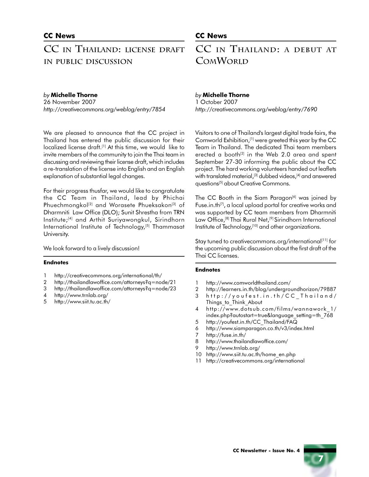## CC IN THAILAND: LICENSE DRAFT IN PUBLIC DISCUSSION

#### by Michelle Thorne 26 November 2007 http://creativecommons.org/weblog/entry/7854

We are pleased to announce that the CC project in Thailand has entered the public discussion for their localized license draft.<sup>[1]</sup> At this time, we would like to invite members of the community to join the Thai team in discussing and reviewing their license draft, which includes a re-translation of the license into English and an English explanation of substantial legal changes.

For their progress thusfar, we would like to congratulate the CC Team in Thailand, lead by Phichai Phuechmongkol<sup>[2]</sup> and Worasete Phueksakon<sup>[3]</sup> of Dharmniti Law Office (DLO); Sunit Shrestha from TRN Institute;[4] and Arthit Suriyawongkul, Sirindhorn International Institute of Technology,<sup>[5]</sup> Thammasat University.

We look forward to a lively discussion!

#### **Endnotes**

- 1 http://creativecommons.org/international/th/
- 2 http://thailandlawoffice.com/attorneys?q=node/21
- 3 http://thailandlawoffice.com/attorneys?q=node/23
- 4 http://www.trnlab.org/<br>5 http://www.siit.tu.ac.th
- http://www.siit.tu.ac.th/

## CC IN THAILAND: <sup>A</sup> DEBUT AT **COMWORLD**

### by Michelle Thorne

1 October 2007 http://creativecommons.org/weblog/entry/7690

Visitors to one of Thailand's largest digital trade fairs, the Comworld Exhibition,[1] were greeted this year by the CC Team in Thailand. The dedicated Thai team members erected a booth $[2]$  in the Web 2.0 area and spent September 27-30 informing the public about the CC project. The hard working volunteers handed out leaflets with translated material,<sup>[3]</sup> dubbed videos,<sup>[4]</sup> and answered questions<sup>[5]</sup> about Creative Commons.

The CC Booth in the Siam Paragon<sup>[6]</sup> was joined by Fuse.in.th<sup>[7]</sup>, a local upload portal for creative works and was supported by CC team members from Dharmniti Law Office,<sup>[8]</sup> Thai Rural Net,<sup>[9]</sup> Sirindhorn International Institute of Technology,[10] and other organizations.

Stay tuned to creativecommons.org/international<sup>[11]</sup> for the upcoming public discussion about the first draft of the Thai CC licenses.

- 1 http://www.comworldthailand.com/
- 2 http://learners.in.th/blog/undergroundhorizon/79887
- 3 http://youfest.in.th/CC\_Thailand/ Things to Think About
- 4 http://www.dotsub.com/films/wannawork\_1/ index.php?autostart=true&language\_setting=th\_768
- 5 http://youfest.in.th/CC\_Thailand/FAQ
- 6 http://www.siamparagon.co.th/v3/index.html
- 7 http://fuse.in.th/
- 8 http://www.thailandlawoffice.com/
- 9 http://www.trnlab.org/
- 10 http://www.siit.tu.ac.th/home\_en.php
- 11 http://creativecommons.org/international

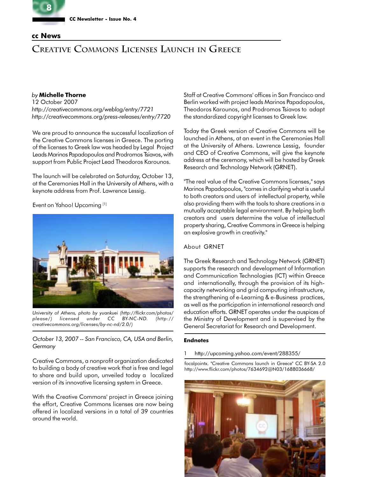

### cc News

# CREATIVE COMMONS LICENSES LAUNCH IN GREECE

### by Michelle Thorne

12 October 2007 http://creativecommons.org/weblog/entry/7721 http://creativecommons.org/press-releases/entry/7720

We are proud to announce the successful localization of the Creative Commons licenses in Greece. The porting of the licenses to Greek law was headed by Legal Project Leads Marinos Papadopoulos and Prodromos Tsiavos, with support from Public Project Lead Theodoros Karounos.

The launch will be celebrated on Saturday, October 13, at the Ceremonies Hall in the University of Athens, with a keynote address from Prof. Lawrence Lessig.

Event on Yahoo! Upcoming [1]



University of Athens, photo by yuankuei (http://flickr.com/photos/<br>please/) licensed under CC BY-NC-ND. (http:// please/) licensed under CC BY-NC-ND. creativecommons.org/licenses/by-nc-nd/2.0/)

October 13, 2007 -- San Francisco, CA, USA and Berlin, **Germany** 

Creative Commons, a nonprofit organization dedicated to building a body of creative work that is free and legal to share and build upon, unveiled today a localized version of its innovative licensing system in Greece.

With the Creative Commons' project in Greece joining the effort, Creative Commons licenses are now being offered in localized versions in a total of 39 countries around the world.

Staff at Creative Commons' offices in San Francisco and Berlin worked with project leads Marinos Papadopoulos, Theodoros Karounos, and Prodromos Tsiavos to adapt the standardized copyright licenses to Greek law.

Today the Greek version of Creative Commons will be launched in Athens, at an event in the Ceremonies Hall at the University of Athens. Lawrence Lessig, founder and CEO of Creative Commons, will give the keynote address at the ceremony, which will be hosted by Greek Research and Technology Network (GRNET).

"The real value of the Creative Commons licenses," says Marinos Papadopoulos, "comes in clarifying what is useful to both creators and users of intellectual property, while also providing them with the tools to share creations in a mutually acceptable legal environment. By helping both creators and users determine the value of intellectual property sharing, Creative Commons in Greece is helping an explosive growth in creativity."

### About GRNET

The Greek Research and Technology Network (GRNET) supports the research and development of Information and Communication Technologies (ICT) within Greece and internationally, through the provision of its highcapacity networking and grid computing infrastructure, the strengthening of e-Learning & e-Business practices, as well as the participation in international research and education efforts. GRNET operates under the auspices of the Ministry of Development and is supervised by the General Secretariat for Research and Development.

#### **Endnotes**

1 http://upcoming.yahoo.com/event/288355/

focalpointx. "Creative Commons launch in Greece" CC BY-SA 2.0 http://www.flickr.com/photos/7634692@N03/1688036668/

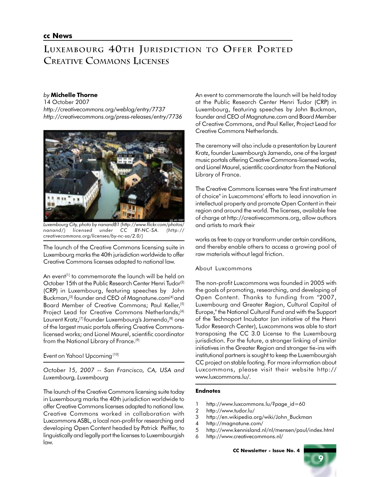## LUXEMBOURG 40TH JURISDICTION TO OFFER PORTED CREATIVE COMMONS LICENSES

#### by Michelle Thorne

14 October 2007 http://creativecommons.org/weblog/entry/7737 http://creativecommons.org/press-releases/entry/7736



Luxembourg City, photo by nanand81 (http://www.flickr.com/photos/ nanand/) licensed under CC BY-NC-SA. (http:// creativecommons.org/licenses/by-nc-sa/2.0/)

The launch of the Creative Commons licensing suite in Luxembourg marks the 40th jurisdiction worldwide to offer Creative Commons licenses adapted to national law.

An event<sup>[1]</sup> to commemorate the launch will be held on October 15th at the Public Research Center Henri Tudor<sup>[2]</sup> (CRP) in Luxembourg, featuring speeches by John Buckman,<sup>[3]</sup> founder and CEO of Magnatune.com<sup>[4]</sup> and Board Member of Creative Commons; Paul Keller,<sup>[5]</sup> Project Lead for Creative Commons Netherlands;<sup>[6]</sup> Laurent Kratz,[7] founder Luxembourg's Jamendo,[8] one of the largest music portals offering Creative Commonslicensed works; and Lionel Maurel, scientific coordinator from the National Library of France.<sup>[9]</sup>

Event on Yahoo! Upcoming<sup>[10]</sup>

October 15, 2007 -- San Francisco, CA, USA and Luxembourg, Luxembourg

The launch of the Creative Commons licensing suite today in Luxembourg marks the 40th jurisdiction worldwide to offer Creative Commons licenses adapted to national law. Creative Commons worked in collaboration with Luxcommons ASBL, a local non-profit for researching and developing Open Content headed by Patrick Peiffer, to linguistically and legally port the licenses to Luxembourgish law.

An event to commemorate the launch will be held today at the Public Research Center Henri Tudor (CRP) in Luxembourg, featuring speeches by John Buckman, founder and CEO of Magnatune.com and Board Member of Creative Commons, and Paul Keller, Project Lead for Creative Commons Netherlands.

The ceremony will also include a presentation by Laurent Kratz, founder Luxembourg's Jamendo, one of the largest music portals offering Creative Commons-licensed works, and Lionel Maurel, scientific coordinator from the National Library of France.

The Creative Commons licenses were "the first instrument of choice" in Luxcommons' efforts to lead innovation in intellectual property and promote Open Content in their region and around the world. The licenses, available free of charge at http://creativecommons.org, allow authors and artists to mark their

works as free to copy or transform under certain conditions, and thereby enable others to access a growing pool of raw materials without legal friction.

#### About Luxcommons

The non-profit Luxcommons was founded in 2005 with the goals of promoting, researching, and developing of Open Content. Thanks to funding from "2007, Luxembourg and Greater Region, Cultural Capital of Europe," the National Cultural Fund and with the Support of the Technoport Incubator (an initiative of the Henri Tudor Research Center), Luxcommons was able to start transposing the CC 3.0 License to the Luxembourg jurisdiction. For the future, a stronger linking of similar initiatives in the Greater Region and stronger tie-ins with institutional partners is sought to keep the Luxembourgish CC project on stable footing. For more information about Luxcommons, please visit their website http:// www.luxcommons.lu/.

- 1 http://www.luxcommons.lu/?page\_id=60
- http://www.tudor.lu/
- 3 http://en.wikipedia.org/wiki/John\_Buckman
- 4 http://magnatune.com/
- 5 http://www.kennisland.nl/nl/mensen/paul/index.html
- 6 http://www.creativecommons.nl/

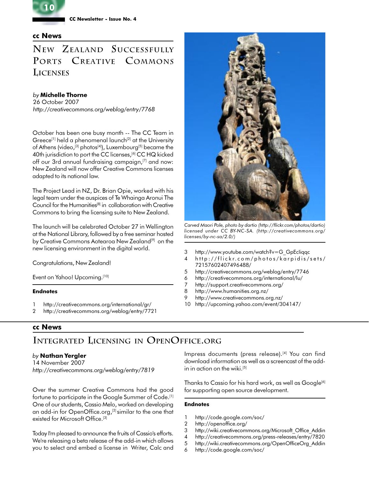

#### cc News

## NEW ZEALAND SUCCESSFULLY PORTS CREATIVE COMMONS **LICENSES**

#### by Michelle Thorne

26 October 2007 http://creativecommons.org/weblog/entry/7768

October has been one busy month -- The CC Team in Greece<sup>[1]</sup> held a phenomenal launch<sup>[2]</sup> at the University of Athens (video,<sup>[3]</sup> photos<sup>[4]</sup>), Luxembourg<sup>[5]</sup> became the 40th jurisdiction to port the CC licenses,<sup>[6]</sup> CC HQ kicked off our 3rd annual fundraising campaign,[7] and now: New Zealand will now offer Creative Commons licenses adapted to its national law.

The Project Lead in NZ, Dr. Brian Opie, worked with his legal team under the auspices of Te Whainga Aronui The Council for the Humanities<sup>[8]</sup> in collaboration with Creative Commons to bring the licensing suite to New Zealand.

The launch will be celebrated October 27 in Wellington at the National Library, followed by a free seminar hosted by Creative Commons Aotearoa New Zealand<sup>[9]</sup> on the new licensing environment in the digital world.

Congratulations, New Zealand!

Event on Yahoo! Upcoming.[10]

#### **Endnotes**

- 1 http://creativecommons.org/international/gr/
- 2 http://creativecommons.org/weblog/entry/7721



Carved Maori Pole, photo by dartio (http://flickr.com/photos/dartio) licensed under CC BY-NC-SA. (http://creativecommons.org/ licenses/by-nc-sa/2.0/)

- 3 http://www.youtube.com/watch?v=G\_GpEcIiqqc
- 4 http://flickr.com/photos/karpidis/sets/ 72157602407496488/
- 5 http://creativecommons.org/weblog/entry/7746
- 6 http://creativecommons.org/international/lu/
- 7 http://support.creativecommons.org/
- 8 http://www.humanities.org.nz/
- http://www.creativecommons.org.nz/
- 10 http://upcoming.yahoo.com/event/304147/

### cc News

## INTEGRATED LICENSING IN OPENOFFICE.ORG

#### by Nathan Yergler

14 November 2007 http://creativecommons.org/weblog/entry/7819

Over the summer Creative Commons had the good fortune to participate in the Google Summer of Code.[1] One of our students, Cassio Melo, worked on developing an add-in for OpenOffice.org,<sup>[2]</sup> similar to the one that existed for Microsoft Office.<sup>[3]</sup>

Today I'm pleased to announce the fruits of Cassio's efforts. We're releasing a beta release of the add-in which allows you to select and embed a license in Writer, Calc and

Impress documents (press release).<sup>[4]</sup> You can find download information as well as a screencast of the addin in action on the wiki.[5]

Thanks to Cassio for his hard work, as well as Google<sup>[6]</sup> for supporting open source development.

- 1 http://code.google.com/soc/
- 2 http://openoffice.org/
- 3 http://wiki.creativecommons.org/Microsoft\_Office\_Addin
- 4 http://creativecommons.org/press-releases/entry/7820
- 5 http://wiki.creativecommons.org/OpenOfficeOrg\_Addin
- 6 http://code.google.com/soc/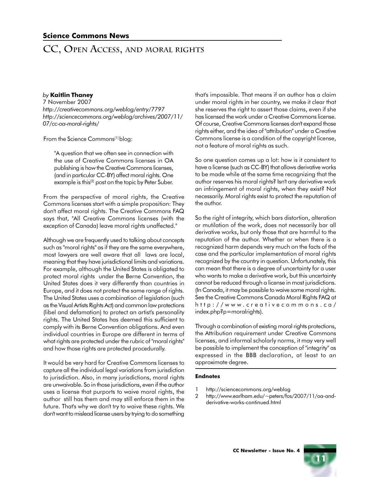## CC, OPEN ACCESS, AND MORAL RIGHTS

#### by Kaitlin Thaney

7 November 2007 http://creativecommons.org/weblog/entry/7797 http://sciencecommons.org/weblog/archives/2007/11/ 07/cc-oa-moral-rights/

From the Science Commons<sup>[1]</sup> blog:

"A question that we often see in connection with the use of Creative Commons licenses in OA publishing is how the Creative Commons licenses, (and in particular CC-BY) affect moral rights. One example is this<sup>[2]</sup> post on the topic by Peter Suber.

From the perspective of moral rights, the Creative Commons licenses start with a simple proposition: They don't affect moral rights. The Creative Commons FAQ says that, "All Creative Commons licenses (with the exception of Canada) leave moral rights unaffected."

Although we are frequently used to talking about concepts such as "moral rights" as if they are the same everywhere, most lawyers are well aware that all laws are local, meaning that they have jurisdictional limits and variations. For example, although the United States is obligated to protect moral rights under the Berne Convention, the United States does it very differently than countries in Europe, and it does not protect the same range of rights. The United States uses a combination of legislation (such as the Visual Artists Rights Act) and common law protections (libel and defamation) to protect an artist's personality rights. The United States has deemed this sufficient to comply with its Berne Convention obligations. And even individual countries in Europe are different in terms of what rights are protected under the rubric of "moral rights" and how those rights are protected procedurally.

It would be very hard for Creative Commons licenses to capture all the individual legal variations from jurisdiction to jurisdiction. Also, in many jurisdictions, moral rights are unwaivable. So in those jurisdictions, even if the author uses a license that purports to waive moral rights, the author still has them and may still enforce them in the future. That's why we don't try to waive these rights. We don't want to mislead license users by trying to do something

that's impossible. That means if an author has a claim under moral rights in her country, we make it clear that she reserves the right to assert those claims, even if she has licensed the work under a Creative Commons license. Of course, Creative Commons licenses don't expand those rights either, and the idea of "attribution" under a Creative Commons license is a condition of the copyright license, not a feature of moral rights as such.

So one question comes up a lot: how is it consistent to have a license (such as CC-BY) that allows derivative works to be made while at the same time recognizing that the author reserves his moral rights? Isn't any derivative work an infringement of moral rights, when they exist? Not necessarily. Moral rights exist to protect the reputation of the author.

So the right of integrity, which bars distortion, alteration or mutilation of the work, does not necessarily bar all derivative works, but only those that are harmful to the reputation of the author. Whether or when there is a recognized harm depends very much on the facts of the case and the particular implementation of moral rights recognized by the country in question. Unfortunately, this can mean that there is a degree of uncertainty for a user who wants to make a derivative work, but this uncertainty cannot be reduced through a license in most jurisdictions. (In Canada, it may be possible to waive some moral rights. See the Creative Commons Canada Moral Rights FAQ at http://www.creativecommons.ca/ index.php?p=moralrights).

Through a combination of existing moral rights protections, the Attribution requirement under Creative Commons licenses, and informal scholarly norms, it may very well be possible to implement the conception of "integrity" as expressed in the BBB declaration, at least to an approximate degree.

- http://sciencecommons.org/weblog
- 2 http://www.earlham.edu/~peters/fos/2007/11/oa-andderivative-works-continued.html

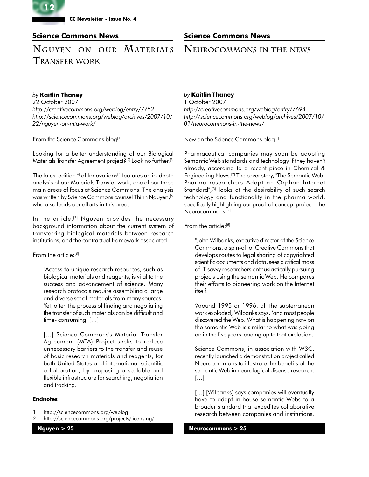

### Science Commons News

## NGUYEN ON OUR MATERIALS TRANSFER WORK

### Science Commons News

NEUROCOMMONS IN THE NEWS

### by Kaitlin Thaney

22 October 2007 http://creativecommons.org/weblog/entry/7752 http://sciencecommons.org/weblog/archives/2007/10/ 22/nguyen-on-mta-work/

From the Science Commons blog<sup>[1]</sup>:

Looking for a better understanding of our Biological Materials Transfer Agreement project?<sup>[2]</sup> Look no further.<sup>[3]</sup>

The latest edition<sup>[4]</sup> of Innovations<sup>[5]</sup> features an in-depth analysis of our Materials Transfer work, one of our three main areas of focus at Science Commons. The analysis was written by Science Commons counsel Thinh Nguyen,<sup>[6]</sup> who also leads our efforts in this area.

In the article,<sup>[7]</sup> Nguyen provides the necessary background information about the current system of transferring biological materials between research institutions, and the contractual framework associated.

From the article:<sup>[8]</sup>

"Access to unique research resources, such as biological materials and reagents, is vital to the success and advancement of science. Many research protocols require assembling a large and diverse set of materials from many sources. Yet, often the process of finding and negotiating the transfer of such materials can be difficult and time- consuming. […]

[...] Science Commons's Material Transfer Agreement (MTA) Project seeks to reduce unnecessary barriers to the transfer and reuse of basic research materials and reagents, for both United States and international scientific collaboration, by proposing a scalable and flexible infrastructure for searching, negotiation and tracking."

#### **Endnotes**

- http://sciencecommons.org/weblog
- 2 http://sciencecommons.org/projects/licensing/

### by Kaitlin Thaney

1 October 2007 http://creativecommons.org/weblog/entry/7694 http://sciencecommons.org/weblog/archives/2007/10/ 01/neurocommons-in-the-news/

New on the Science Commons blog<sup>[1]</sup>:

Pharmaceutical companies may soon be adopting Semantic Web standards and technology if they haven't already, according to a recent piece in Chemical & Engineering News.[2] The cover story, "The Semantic Web: Pharma researchers Adopt an Orphan Internet Standard",<sup>[3]</sup> looks at the desirability of such search technology and functionality in the pharma world, specifically highlighting our proof-of-concept project - the Neurocommons.[4]

From the article:<sup>[5]</sup>

"John Wilbanks, executive director of the Science Commons, a spin-off of Creative Commons that develops routes to legal sharing of copyrighted scientific documents and data, sees a critical mass of IT-savvy researchers enthusiastically pursuing projects using the semantic Web. He compares their efforts to pioneering work on the Internet itself.

'Around 1995 or 1996, all the subterranean work exploded,' Wilbanks says, 'and most people discovered the Web. What is happening now on the semantic Web is similar to what was going on in the five years leading up to that explosion.'

Science Commons, in association with W3C, recently launched a demonstration project called Neurocommons to illustrate the benefits of the semantic Web in neurological disease research. […]

[...] [Wilbanks] says companies will eventually have to adapt in-house semantic Webs to a broader standard that expedites collaborative research between companies and institutions.

Nguyen > 25 Neurocommons > 25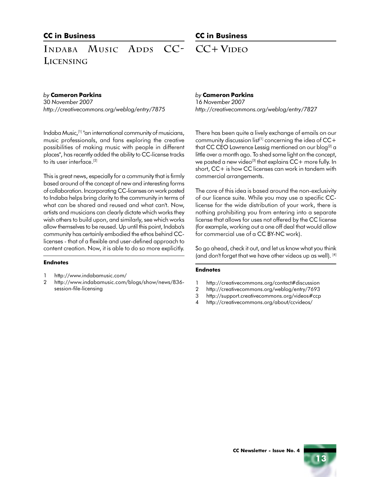## $CC+V$ IDEO CC in Business

## INDABA MUSIC ADDS CC-LICENSING

#### by Cameron Parkins

30 November 2007 http://creativecommons.org/weblog/entry/7875

Indaba Music,[1] "an international community of musicians, music professionals, and fans exploring the creative possibilities of making music with people in different places", has recently added the ability to CC-license tracks to its user interface.<sup>[2]</sup>

This is great news, especially for a community that is firmly based around of the concept of new and interesting forms of collaboration. Incorporating CC-licenses on work posted to Indaba helps bring clarity to the community in terms of what can be shared and reused and what can't. Now, artists and musicians can clearly dictate which works they wish others to build upon, and similarly, see which works allow themselves to be reused. Up until this point, Indaba's community has certainly embodied the ethos behind CClicenses - that of a flexible and user-defined approach to content creation. Now, it is able to do so more explicitly.

#### **Endnotes**

- 1 http://www.indabamusic.com/
- 2 http://www.indabamusic.com/blogs/show/news/836 session-file-licensing

## by Cameron Parkins

16 November 2007 http://creativecommons.org/weblog/entry/7827

There has been quite a lively exchange of emails on our community discussion list<sup>[1]</sup> concerning the idea of  $CC+$ that CC CEO Lawrence Lessig mentioned on our blog<sup>[2]</sup> a little over a month ago. To shed some light on the concept, we posted a new video<sup>[3]</sup> that explains CC+ more fully. In short, CC+ is how CC licenses can work in tandem with commercial arrangements.

The core of this idea is based around the non-exclusivity of our licence suite. While you may use a specific CClicense for the wide distribution of your work, there is nothing prohibiting you from entering into a separate license that allows for uses not offered by the CC license (for example, working out a one off deal that would allow for commercial use of a CC BY-NC work).

So go ahead, check it out, and let us know what you think (and don't forget that we have other videos up as well). [4]

- 1 http://creativecommons.org/contact#discussion
- 2 http://creativecommons.org/weblog/entry/7693
- 3 http://support.creativecommons.org/videos#ccp
- 4 http://creativecommons.org/about/ccvideos/

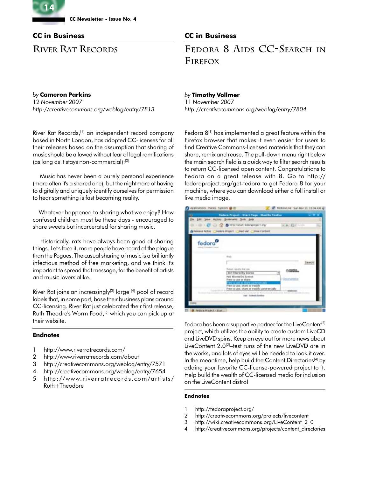

### CC in Business

## RIVER RAT RECORDS

by Cameron Parkins 12 November 2007 http://creativecommons.org/weblog/entry/7813

River Rat Records,[1] an independent record company based in North London, has adopted CC-licenses for all their releases based on the assumption that sharing of music should be allowed without fear of legal ramifications (as long as it stays non-commercial): $[2]$ 

 Music has never been a purely personal experience (more often it's a shared one), but the nightmare of having to digitally and uniquely identify ourselves for permission to hear something is fast becoming reality.

 Whatever happened to sharing what we enjoy? How confused children must be these days - encouraged to share sweets but incarcerated for sharing music.

 Historically, rats have always been good at sharing things. Let's face it, more people have heard of the plague than the Pogues. The casual sharing of music is a brilliantly infectious method of free marketing, and we think it's important to spread that message, for the benefit of artists and music lovers alike.

River Rat joins an increasingly<sup>[3]</sup> large [4] pool of record labels that, in some part, base their business plans around CC-licensing. River Rat just celebrated their first release, Ruth Theodre's Worm Food,<sup>[5]</sup> which you can pick up at their website.

#### Endnotes

- 1 http://www.riverratrecords.com/
- 2 http://www.riverratrecords.com/about
- 3 http://creativecommons.org/weblog/entry/7571
- 4 http://creativecommons.org/weblog/entry/7654
- 5 http://www.riverratrecords.com/artists/ Ruth+Theodore

### CC in Business

## FEDORA 8 AIDS CC-SEARCH IN FIREFOX

### by Timothy Vollmer

11 November 2007 http://creativecommons.org/weblog/entry/7804

Fedora 8[1] has implemented a great feature within the Firefox browser that makes it even easier for users to find Creative Commons-licensed materials that they can share, remix and reuse. The pull-down menu right below the main search field is a quick way to filter search results to return CC-licensed open content. Congratulations to Fedora on a great release with 8. Go to http:// fedoraproject.org/get-fedora to get Fedora 8 for your machine, where you can download either a full install or live media image.

|                                           | Federa Project - Start Page - Mazilla Peefec<br>the told year rightly probranks polk new                                                                                                                                                                              |                | <b><i><u>ALCO</u></i></b> |
|-------------------------------------------|-----------------------------------------------------------------------------------------------------------------------------------------------------------------------------------------------------------------------------------------------------------------------|----------------|---------------------------|
|                                           | Lille L.C. C. C. D Http://start.fedoraproject.org/                                                                                                                                                                                                                    | $4.39 - 1.34$  |                           |
| fedoro<br>colours in a success & stage at | Orbonne Actes C Fedora Project. C Fed For. C From Content.                                                                                                                                                                                                            |                |                           |
|                                           | Pa'udi.<br>Battern repulse that and<br>Not filtered by Icense<br>PMIT Mitweed by Noemee<br>Free to use at share.<br>is aid to use or share com-<br>Pres to use, share or mudity<br>Free to use, share or modify commercially.<br>with several components for an Benn- | <b>I</b> Donet | laard                     |
|                                           | June Trackwood Suickline                                                                                                                                                                                                                                              |                |                           |

Fedora has been a supportive partner for the LiveContent<sup>[2]</sup> project, which utilizes the ability to create custom LiveCD and LiveDVD spins. Keep an eye out for more news about LiveContent 2.0[3]–test runs of the new LiveDVD are in the works, and lots of eyes will be needed to look it over. In the meantime, help build the Content Directories<sup>[4]</sup> by adding your favorite CC-license-powered project to it. Help build the wealth of CC-licensed media for inclusion on the LiveContent distro!

- 1 http://fedoraproject.org/
- 2 http://creativecommons.org/projects/livecontent
- 3 http://wiki.creativecommons.org/LiveContent\_2\_0
- 4 http://creativecommons.org/projects/content\_directories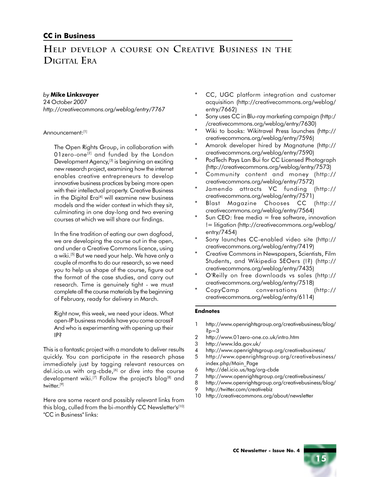## HELP DEVELOP A COURSE ON CREATIVE BUSINESS IN THE DIGITAL ERA

#### by Mike Linksvayer

24 October 2007 http://creativecommons.org/weblog/entry/7767

Announcement:[1]

The Open Rights Group, in collaboration with 01zero-one<sup>[2]</sup> and funded by the London Development Agency,[3] is beginning an exciting new research project, examining how the internet enables creative entrepreneurs to develop innovative business practices by being more open with their intellectual property. Creative Business in the Digital Era<sup>[4]</sup> will examine new business models and the wider context in which they sit, culminating in one day-long and two evening courses at which we will share our findings.

In the fine tradition of eating our own dogfood, we are developing the course out in the open, and under a Creative Commons licence, using a wiki.<sup>[5]</sup> But we need your help. We have only a couple of months to do our research, so we need you to help us shape of the course, figure out the format of the case studies, and carry out research. Time is genuinely tight - we must complete all the course materials by the beginning of February, ready for delivery in March.

Right now, this week, we need your ideas. What open-IP business models have you come across? And who is experimenting with opening up their IP?

This is a fantastic project with a mandate to deliver results quickly. You can participate in the research phase immediately just by tagging relevant resources on del.icio.us with org-cbde,<sup>[6]</sup> or dive into the course development wiki.<sup>[7]</sup> Follow the project's blog<sup>[8]</sup> and twitter.<sup>[9]</sup>

Here are some recent and possibly relevant links from this blog, culled from the bi-monthly CC Newsletter's<sup>[10]</sup> "CC in Business" links:

- CC, UGC platform integration and customer acquisition (http://creativecommons.org/weblog/ entry/7662)
- Sony uses CC in Blu-ray marketing campaign (http:/ /creativecommons.org/weblog/entry/7630)
- Wiki to books: Wikitravel Press launches (http:// creativecommons.org/weblog/entry/7596)
- Amarok developer hired by Magnatune (http:// creativecommons.org/weblog/entry/7590)
- PodTech Pays Lan Bui for CC Licensed Photograph (http://creativecommons.org/weblog/entry/7573)
- Community content and money (http:// creativecommons.org/weblog/entry/7572)
- Jamendo attracts VC funding (http:// creativecommons.org/weblog/entry/7571)
- Blast Magazine Chooses CC (http:// creativecommons.org/weblog/entry/7564)
- Sun CEO: free media  $=$  free software, innovation != litigation (http://creativecommons.org/weblog/ entry/7454)
- Sony launches CC-enabled video site (http:// creativecommons.org/weblog/entry/7419)
- Creative Commons in Newspapers, Scientists, Film Students, and Wikipedia SEOers (!?) (http:// creativecommons.org/weblog/entry/7435)
- O'Reilly on free downloads vs sales (http:// creativecommons.org/weblog/entry/7518)
- CopyCamp conversations (http:// creativecommons.org/weblog/entry/6114)

- 1 http://www.openrightsgroup.org/creativebusiness/blog/  $e_{p=3}$
- 2 http://www.01zero-one.co.uk/intro.htm
- 3 http://www.lda.gov.uk/
- 4 http://www.openrightsgroup.org/creativebusiness/
- 5 http://www.openrightsgroup.org/creativebusiness/ index.php/Main\_Page
- 6 http://del.icio.us/tag/org-cbde
- 7 http://www.openrightsgroup.org/creativebusiness/
- 8 http://www.openrightsgroup.org/creativebusiness/blog/
- 9 http://twitter.com/creativebiz
- 10 http://creativecommons.org/about/newsletter

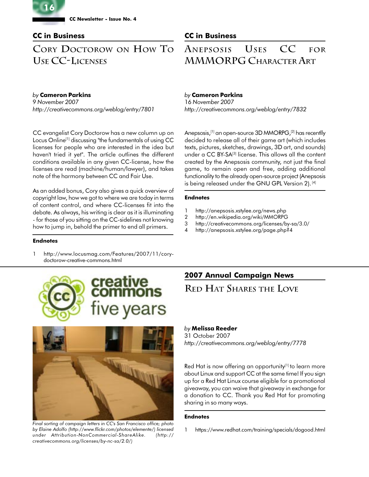

### CC in Business

## CORY DOCTOROW ON HOW T<sup>O</sup> USE CC-LICENSES

by Cameron Parkins 9 November 2007 http://creativecommons.org/weblog/entry/7801

CC evangelist Cory Doctorow has a new column up on Locus Online<sup>[1]</sup> discussing "the fundamentals of using CC licenses for people who are interested in the idea but haven't tried it yet". The article outlines the different conditions available in any given CC-license, how the licenses are read (machine/human/lawyer), and takes note of the harmony between CC and Fair Use.

As an added bonus, Cory also gives a quick overview of copyright law, how we got to where we are today in terms of content control, and where CC-licenses fit into the debate. As always, his writing is clear as it is illuminating - for those of you sitting on the CC-sidelines not knowing how to jump in, behold the primer to end all primers.

#### Endnotes

1 http://www.locusmag.com/Features/2007/11/corydoctorow-creative-commons.html





Final sorting of campaign letters in CC's San Francisco office; photo by Elaine Adolfo (http://www.flickr.com/photos/elemente/) licensed under Attribution-NonCommercial-ShareAlike. (http:// creativecommons.org/licenses/by-nc-sa/2.0/)

### CC in Business

## ANEPSOSIS USES CC FOR MMMORPG CHARACTER ART

#### by Cameron Parkins

16 November 2007 http://creativecommons.org/weblog/entry/7832

Anepsosis,<sup>[1]</sup> an open-source 3D MMORPG,<sup>[2]</sup> has recentlly decided to release all of their game art (which includes texts, pictures, sketches, drawings, 3D art, and sounds) under a CC BY-SA<sup>[3]</sup> license. This allows all the content created by the Anepsosis community, not just the final game, to remain open and free, adding additional functionality to the already open-source project (Anepsosis is being released under the GNU GPL Version 2).<sup>[4]</sup>

#### **Endnotes**

- 1 http://anepsosis.xstylee.org/news.php
- 2 http://en.wikipedia.org/wiki/MMORPG
- 3 http://creativecommons.org/licenses/by-sa/3.0/
- 4 http://anepsosis.xstylee.org/page.php?4

### 2007 Annual Campaign News

RED HAT SHARES THE LOVE

by Melissa Reeder 31 October 2007 http://creativecommons.org/weblog/entry/7778

Red Hat is now offering an opportunity<sup>[1]</sup> to learn more about Linux and support CC at the same time! If you sign up for a Red Hat Linux course eligible for a promotional giveaway, you can waive that giveaway in exchange for a donation to CC. Thank you Red Hat for promoting sharing in so many ways.

#### **Endnotes**

1 https://www.redhat.com/training/specials/dogood.html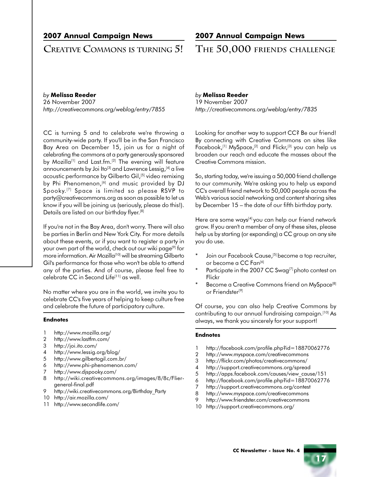### 2007 Annual Campaign News

## CREATIVE COMMONS IS TURNING 5!

by Melissa Reeder 26 November 2007 http://creativecommons.org/weblog/entry/7855

CC is turning 5 and to celebrate we're throwing a community-wide party. If you'll be in the San Francisco Bay Area on December 15, join us for a night of celebrating the commons at a party generously sponsored by Mozilla<sup>[1]</sup> and Last.fm.<sup>[2]</sup> The evening will feature announcements by Joi Ito<sup>[3]</sup> and Lawrence Lessig,<sup>[4]</sup> a live acoustic performance by Gilberto Gil,<sup>[5]</sup> video remixing by Phi Phenomenon,<sup>[6]</sup> and music provided by DJ Spooky.[7] Space is limited so please RSVP to party@creativecommons.org as soon as possible to let us know if you will be joining us (seriously, please do this!). Details are listed on our birthday flyer.[8]

If you're not in the Bay Area, don't worry. There will also be parties in Berlin and New York City. For more details about these events, or if you want to register a party in your own part of the world, check out our wiki page<sup>[9]</sup> for more information. Air Mozilla<sup>[10]</sup> will be streaming Gilberto Gil's performance for those who won't be able to attend any of the parties. And of course, please feel free to celebrate CC in Second Life[11] as well.

No matter where you are in the world, we invite you to celebrate CC's five years of helping to keep culture free and celebrate the future of participatory culture.

#### **Endnotes**

- 1 http://www.mozilla.org/
- 2 http://www.lastfm.com/
- 3 http://joi.ito.com/
- 4 http://www.lessig.org/blog/
- 5 http://www.gilbertogil.com.br/
- 6 http://www.phi-phenomenon.com/
- 7 http://www.djspooky.com/
- 8 http://wiki.creativecommons.org/images/8/8c/Fliergeneral-final.pdf
- 9 http://wiki.creativecommons.org/Birthday\_Party
- 10 http://air.mozilla.com/
- 11 http://www.secondlife.com/

### 2007 Annual Campaign News

## THE 50,000 FRIENDS CHALLENGE

by Melissa Reeder 19 November 2007 http://creativecommons.org/weblog/entry/7835

Looking for another way to support CC? Be our friend! By connecting with Creative Commons on sites like Facebook,<sup>[1]</sup> MySpace,<sup>[2]</sup> and Flickr,<sup>[3]</sup> you can help us broaden our reach and educate the masses about the Creative Commons mission.

So, starting today, we're issuing a 50,000 friend challenge to our community. We're asking you to help us expand CC's overall friend network to 50,000 people across the Web's various social networking and content sharing sites by December 15 – the date of our fifth birthday party.

Here are some ways<sup>[4]</sup> you can help our friend network grow. If you aren't a member of any of these sites, please help us by starting (or expanding) a CC group on any site you do use.

- Join our Facebook Cause,<sup>[5]</sup> become a top recruiter, or become a CC Fan<sup>[6]</sup>
- Participate in the 2007 CC Swag $[7]$  photo contest on **Flickr**
- Become a Creative Commons friend on MySpace<sup>[8]</sup> or Friendster<sup>[9]</sup>

Of course, you can also help Creative Commons by contributing to our annual fundraising campaign.[10] As always, we thank you sincerely for your support!

- 1 http://facebook.com/profile.php?id=18870062776
- 2 http://www.myspace.com/creativecommons
- 3 http://flickr.com/photos/creativecommons/
- 4 http://support.creativecommons.org/spread
- 5 http://apps.facebook.com/causes/view\_cause/151
- 6 http://facebook.com/profile.php?id=18870062776
- http://support.creativecommons.org/contest
- 8 http://www.myspace.com/creativecommons
- 9 http://www.friendster.com/creativecommons
- 10 http://support.creativecommons.org/

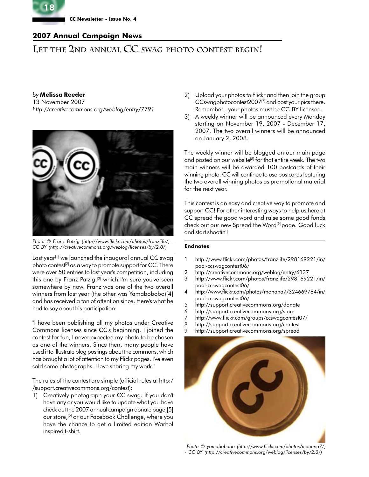

### 2007 Annual Campaign News

## LET THE 2ND ANNUAL CC SWAG PHOTO CONTEST BEGIN!

#### by Melissa Reeder

13 November 2007 http://creativecommons.org/weblog/entry/7791



Photo © Franz Patzig (http://www.flickr.com/photos/franzlife/) - CC BY (http://creativecommons.org/weblog/licenses/by/2.0/)

Last year<sup>[1]</sup> we launched the inaugural annual CC swag photo contest<sup>[2]</sup> as a way to promote support for CC. There were over 50 entries to last year's competition, including this one by Franz Patzig, [3] which I'm sure you've seen somewhere by now. Franz was one of the two overall winners from last year (the other was Yamabobobo)[4] and has received a ton of attention since. Here's what he had to say about his participation:

"I have been publishing all my photos under Creative Commons licenses since CC's beginning. I joined the contest for fun; I never expected my photo to be chosen as one of the winners. Since then, many people have used it to illustrate blog postings about the commons, which has brought a lot of attention to my Flickr pages. I've even sold some photographs. I love sharing my work."

The rules of the contest are simple (official rules at http:/ /support.creativecommons.org/contest):

1) Creatively photograph your CC swag. If you don't have any or you would like to update what you have check out the 2007 annual campaign donate page,[5] our store,<sup>[6]</sup> or our Facebook Challenge, where you have the chance to get a limited edition Warhol inspired t-shirt.

- 2) Upload your photos to Flickr and then join the group  $CC$ swagphotocontest $2007$ <sup>[7]</sup> and post your pics there. Remember - your photos must be CC-BY licensed.
- 3) A weekly winner will be announced every Monday starting on November 19, 2007 - December 17, 2007. The two overall winners will be announced on January 2, 2008.

The weekly winner will be blogged on our main page and posted on our website<sup>[8]</sup> for that entire week. The two main winners will be awarded 100 postcards of their winning photo. CC will continue to use postcards featuring the two overall winning photos as promotional material for the next year.

This contest is an easy and creative way to promote and support CC! For other interesting ways to help us here at CC spread the good word and raise some good funds check out our new Spread the Word<sup>[9]</sup> page. Good luck and start shootin'!

- 1 http://www.flickr.com/photos/franzlife/298169221/in/ pool-ccswagcontest06/
- 2 http://creativecommons.org/weblog/entry/6137
- 3 http://www.flickr.com/photos/franzlife/298169221/in/ pool-ccswagcontest06/
- 4 http://www.flickr.com/photos/monana7/324669784/in/ pool-ccswagcontest06/
- 5 http://support.creativecommons.org/donate
- 6 http://support.creativecommons.org/store
- 7 http://www.flickr.com/groups/ccswagcontest07/
- 8 http://support.creativecommons.org/contest
- http://support.creativecommons.org/spread



 Photo © yamabobobo (http://www.flickr.com/photos/monana7/) - CC BY (http://creativecommons.org/weblog/licenses/by/2.0/)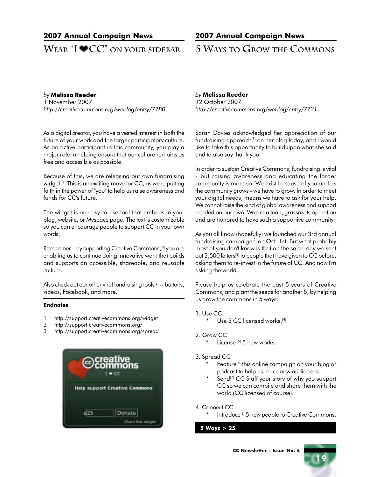### 2007 Annual Campaign News

## WEAR "I CC" ON YOUR SIDEBAR

by Melissa Reeder 1 November 2007 http://creativecommons.org/weblog/entry/7780

As a digital creator, you have a vested interest in both the future of your work and the larger participatory culture. As an active participant in this community, you play a major role in helping ensure that our culture remains as free and accessible as possible.

Because of this, we are releasing our own fundraising widget.[1] This is an exciting move for CC, as we're putting faith in the power of "you" to help us raise awareness and funds for CC's future.

The widget is an easy-to-use tool that embeds in your blog, website, or Myspace page. The text is customizable so you can encourage people to support CC in your own words.

Remember – by supporting Creative Commons,[2] you are enabling us to continue doing innovative work that builds and supports an accessible, shareable, and reusable culture.

Also check out our other viral fundraising tools[3] -- buttons, videos, Facebook, and more.

#### **Endnotes**

- 1 http://support.creativecommons.org/widget
- 2 http://support.creativecommons.org/
- 3 http://support.creativecommons.org/spread



### 2007 Annual Campaign News

## 5 WAYS TO GROW THE COMMONS

### by Melissa Reeder

12 October 2007 http://creativecommons.org/weblog/entry/7731

Sarah Davies acknowledged her appreciation of our fundraising approach<sup>[1]</sup> on her blog today, and I would like to take this opportunity to build upon what she said and to also say thank you.

In order to sustain Creative Commons, fundraising is vital - but raising awareness and educating the larger community is more so. We exist because of you and as the community grows - we have to grow. In order to meet your digital needs, means we have to ask for your help. We cannot raise the kind of global awareness and support needed on our own. We are a lean, grassroots operation and are honored to have such a supportive community.

As you all know (hopefully) we launched our 3rd annual fundraising campaign<sup>[2]</sup> on Oct. 1st. But what probably most of you don't know is that on the same day we sent out 2,500 letters<sup>[3]</sup> to people that have given to CC before, asking them to re-invest in the future of CC. And now I'm asking the world.

Please help us celebrate the past 5 years of Creative Commons, and plant the seeds for another 5, by helping us grow the commons in 5 ways:

- 1. Use CC
	- Use 5 CC licensed works.<sup>[4]</sup>
- 2. Grow CC
	- License  $[5]$  5 new works.
- 3. Spread CC
	- Feature<sup>[6]</sup> this online campaign on your blog or podcast to help us reach new audiences.
	- Send<sup>[7]</sup> CC Staff your story of why you support CC so we can compile and share them with the world (CC licensed of course).

4. Connect CC

Introduce<sup>[8]</sup> 5 new people to Creative Commons.

5 Ways > 25

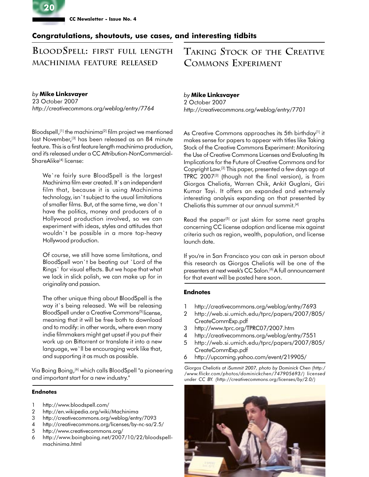

### Congratulations, shoutouts, use cases, and interesting tidbits

## BLOODSPELL: FIRST FULL LENGTH MACHINIMA FEATURE RELEASED

by Mike Linksvayer 23 October 2007 http://creativecommons.org/weblog/entry/7764

Bloodspell,<sup>[1]</sup> the machinima<sup>[2]</sup> film project we mentioned last November,[3] has been released as an 84 minute feature. This is a first feature length machinima production, and it's released under a CC Attribution-NonCommercial-ShareAlike<sup>[4]</sup> license:

We`re fairly sure BloodSpell is the largest Machinima film ever created. It`s an independent film that, because it is using Machinima technology, isn`t subject to the usual limitations of smaller films. But, at the same time, we don`t have the politics, money and producers of a Hollywood production involved, so we can experiment with ideas, styles and attitudes that wouldn`t be possible in a more top-heavy Hollywood production.

Of course, we still have some limitations, and BloodSpell won`t be beating out `Lord of the Rings` for visual effects. But we hope that what we lack in slick polish, we can make up for in originality and passion.

The other unique thing about BloodSpell is the way it`s being released. We will be releasing BloodSpell under a Creative Commons<sup>[5]</sup> license, meaning that it will be free both to download and to modify: in other words, where even many indie filmmakers might get upset if you put their work up on Bittorrent or translate it into a new language, we`ll be encouraging work like that, and supporting it as much as possible.

Via Boing Boing,<sup>[6]</sup> which calls BloodSpell "a pioneering and important start for a new industry."

#### **Endnotes**

- 1 http://www.bloodspell.com/
- 2 http://en.wikipedia.org/wiki/Machinima
- 3 http://creativecommons.org/weblog/entry/7093
- 4 http://creativecommons.org/licenses/by-nc-sa/2.5/
- 5 http://www.creativecommons.org/
- 6 http://www.boingboing.net/2007/10/22/bloodspellmachinima.html

## TAKING STOCK OF THE CREATIVE COMMONS EXPERIMENT

by Mike Linksvayer 2 October 2007 http://creativecommons.org/weblog/entry/7701

As Creative Commons approaches its 5th birthday<sup>[1]</sup> it makes sense for papers to appear with titles like Taking Stock of the Creative Commons Experiment: Monitoring the Use of Creative Commons Licenses and Evaluating Its Implications for the Future of Creative Commons and for Copyright Law.[2] This paper, presented a few days ago at TPRC 2007<sup>[3]</sup> (though not the final version), is from Giorgos Cheliotis, Warren Chik, Ankit Guglani, Giri Kumar Tayi. It offers an expanded and extremely interesting analysis expanding on that presented by Cheliotis this summer at our annual summit.[4]

Read the paper<sup>[5]</sup> or just skim for some neat graphs concerning CC license adoption and license mix against criteria such as region, wealth, population, and license launch date.

If you're in San Francisco you can ask in person about this research as Giorgos Cheliotis will be one of the presenters at next week's CC Salon.[6] A full announcement for that event will be posted here soon.

#### **Endnotes**

- 1 http://creativecommons.org/weblog/entry/7693
- 2 http://web.si.umich.edu/tprc/papers/2007/805/ CreateCommExp.pdf
- 3 http://www.tprc.org/TPRC07/2007.htm
- 4 http://creativecommons.org/weblog/entry/7551
- 5 http://web.si.umich.edu/tprc/papers/2007/805/ CreateCommExp.pdf
- 6 http://upcoming.yahoo.com/event/219905/

Giorgos Cheliotis at iSummit 2007, photo by Dominick Chen (http:/ /www.flickr.com/photos/dominickchen/747905693/) licensed under CC BY. (http://creativecommons.org/licenses/by/2.0/)

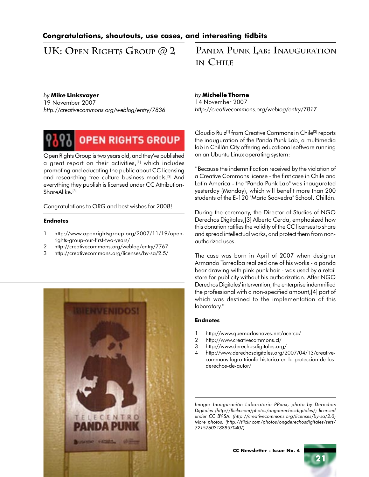UK: OPEN RIGHTS GROUP @ 2

### by Mike Linksvayer

19 November 2007 http://creativecommons.org/weblog/entry/7836

# **OPEN RIGHTS GROUP**

Open Rights Group is two years old, and they've published a great report on their activities,[1] which includes promoting and educating the public about CC licensing and researching free culture business models.[2] And everything they publish is licensed under CC Attribution-ShareAlike.[3]

Congratulations to ORG and best wishes for 2008!

#### **Endnotes**

- 1 http://www.openrightsgroup.org/2007/11/19/openrights-group-our-first-two-years/
- 2 http://creativecommons.org/weblog/entry/7767
- 3 http://creativecommons.org/licenses/by-sa/2.5/



## PANDA PUNK LAB: INAUGURATION IN CHILE

### by Michelle Thorne

14 November 2007 http://creativecommons.org/weblog/entry/7817

Claudio Ruiz[1] from Creative Commons in Chile[2] reports the inauguration of the Panda Punk Lab, a multimedia lab in Chillán City offering educational software running on an Ubuntu Linux operating system:

" Because the indemnification received by the violation of a Creative Commons license - the first case in Chile and Latin America - the "Panda Punk Lab" was inaugurated yesterday (Monday), which will benefit more than 200 students of the E-120 "María Saavedra" School, Chillán.

During the ceremony, the Director of Studies of NGO Derechos Digitales,[3] Alberto Cerda, emphasized how this donation ratifies the validity of the CC licenses to share and spread intellectual works, and protect them from nonauthorized uses.

The case was born in April of 2007 when designer Armando Torrealba realized one of his works - a panda bear drawing with pink punk hair - was used by a retail store for publicity without his authorization. After NGO Derechos Digitales' intervention, the enterprise indemnified the professional with a non-specified amount,[4] part of which was destined to the implementation of this laboratory."

#### **Endnotes**

- 1 http://www.quemarlasnaves.net/acerca/
- 2 http://www.creativecommons.cl/
- 3 http://www.derechosdigitales.org/
- 4 http://www.derechosdigitales.org/2007/04/13/creativecommons-logra-triunfo-historico-en-la-proteccion-de-losderechos-de-autor/

Image: Inauguración Laboratorio PPunk, photo by Derechos Digitales (http://flickr.com/photos/ongderechosdigitales/) licensed under CC BY-SA. (http://creativecommons.org/licenses/by-sa/2.0) More photos. (http://flickr.com/photos/ongderechosdigitales/sets/ 72157603138857040/)

CC Newsletter - Issue No. 4

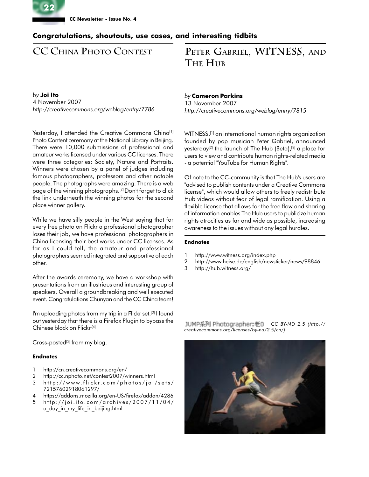

### Congratulations, shoutouts, use cases, and interesting tidbits

# CC CHINA PHOTO CONTEST

#### by Joi Ito 4 November 2007 http://creativecommons.org/weblog/entry/7786

Yesterday, I attended the Creative Commons China<sup>[1]</sup> Photo Content ceremony at the National Library in Beijing. There were 10,000 submissions of professional and amateur works licensed under various CC licenses. There were three categories: Society, Nature and Portraits. Winners were chosen by a panel of judges including famous photographers, professors and other notable people. The photographs were amazing. There is a web page of the winning photographs.[2] Don't forget to click the link underneath the winning photos for the second place winner gallery.

While we have silly people in the West saying that for every free photo on Flickr a professional photographer loses their job, we have professional photographers in China licensing their best works under CC licenses. As far as I could tell, the amateur and professional photographers seemed integrated and supportive of each other.

After the awards ceremony, we have a workshop with presentations from an illustrious and interesting group of speakers. Overall a groundbreaking and well executed event. Congratulations Chunyan and the CC China team!

I'm uploading photos from my trip in a Flickr set.<sup>[3]</sup> I found out yesterday that there is a Firefox Plugin to bypass the Chinese block on Flickr.[4]

Cross-posted<sup>[5]</sup> from my blog.

#### **Endnotes**

- 1 http://cn.creativecommons.org/en/
- 2 http://cc.nphoto.net/contest2007/winners.html
- 3 http://www.flickr.com/photos/joi/sets/ 72157602918061297/
- 4 https://addons.mozilla.org/en-US/firefox/addon/4286
- 5 http://joi.ito.com/archives/2007/11/04/ a day in my life in beijing.html

## PETER GABRIEL, WITNESS, AND THE HUB

### by Cameron Parkins

13 November 2007 http://creativecommons.org/weblog/entry/7815

WITNESS,<sup>[1]</sup> an international human rights organization founded by pop musician Peter Gabriel, announced yesterday<sup>[2]</sup> the launch of The Hub (Beta),<sup>[3]</sup> a place for users to view and contribute human rights-related media - a potential "YouTube for Human Rights".

Of note to the CC-community is that The Hub's users are "advised to publish contents under a Creative Commons license", which would allow others to freely redistribute Hub videos without fear of legal ramification. Using a flexible license that allows for the free flow and sharing of information enables The Hub users to publicize human rights atrocities as far and wide as possible, increasing awareness to the issues without any legal hurdles.

#### **Endnotes**

- 1 http://www.witness.org/index.php
- 2 http://www.heise.de/english/newsticker/news/98846
- 3 http://hub.witness.org/

JUMP系列 Photographer:老0 CC BY-ND 2.5 (http:// creativecommons.org/licenses/by-nd/2.5/cn/)

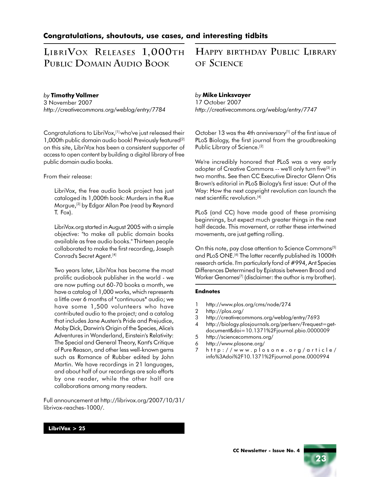LIBRIVOX RELEASES 1,000TH PUBLIC DOMAIN AUDIO BOOK

#### by Timothy Vollmer

3 November 2007 http://creativecommons.org/weblog/entry/7784

Congratulations to LibriVox,[1] who've just released their 1,000th public domain audio book! Previously featured<sup>[2]</sup> on this site, LibriVox has been a consistent supporter of access to open content by building a digital library of free public domain audio books.

From their release:

LibriVox, the free audio book project has just cataloged its 1,000th book: Murders in the Rue Morgue,[3] by Edgar Allan Poe (read by Reynard T. Fox).

LibriVox.org started in August 2005 with a simple objective: "to make all public domain books available as free audio books." Thirteen people collaborated to make the first recording, Joseph Conrad's Secret Agent.[4]

Two years later, LibriVox has become the most prolific audiobook publisher in the world - we are now putting out 60-70 books a month, we have a catalog of 1,000 works, which represents a little over 6 months of \*continuous\* audio; we have some 1,500 volunteers who have contributed audio to the project; and a catalog that includes Jane Austen's Pride and Prejudice, Moby Dick, Darwin's Origin of the Species, Alice's Adventures in Wonderland, Einstein's Relativity: The Special and General Theory, Kant's Critique of Pure Reason, and other less well-known gems such as Romance of Rubber edited by John Martin. We have recordings in 21 languages, and about half of our recordings are solo efforts by one reader, while the other half are collaborations among many readers.

Full announcement at http://librivox.org/2007/10/31/ librivox-reaches-1000/.

## HAPPY BIRTHDAY PUBLIC LIBRARY OF SCIENCE

#### by Mike Linksvayer

17 October 2007 http://creativecommons.org/weblog/entry/7747

October 13 was the 4th anniversary<sup>[1]</sup> of the first issue of PLoS Biology, the first journal from the groudbreaking Public Library of Science.<sup>[2]</sup>

We're incredibly honored that PLoS was a very early adopter of Creative Commons -- we'll only turn five<sup>[3]</sup> in two months. See then CC Executive Director Glenn Otis Brown's editorial in PLoS Biology's first issue: Out of the Way: How the next copyright revolution can launch the next scientific revolution.[4]

PLoS (and CC) have made good of these promising beginnings, but expect much greater things in the next half decade. This movement, or rather these intertwined movements, are just getting rolling.

On this note, pay close attention to Science Commons<sup>[5]</sup> and PLoS ONE.<sup>[6]</sup> The latter recently published its 1000th research article. I'm particularly fond of #994, Ant Species Differences Determined by Epistasis between Brood and Worker Genomes<sup>[7]</sup> (disclaimer: the author is my brother).

- 1 http://www.plos.org/cms/node/274<br>2 http://plos.org/
- http://plos.org/
- 3 http://creativecommons.org/weblog/entry/7693
- 4 http://biology.plosjournals.org/perlserv/?request=getdocument&doi=10.1371%2Fjournal.pbio.0000009
- 5 http://sciencecommons.org/
- 6 http://www.plosone.org/
- 7 http://www.plosone.org/article/ info%3Adoi%2F10.1371%2Fjournal.pone.0000994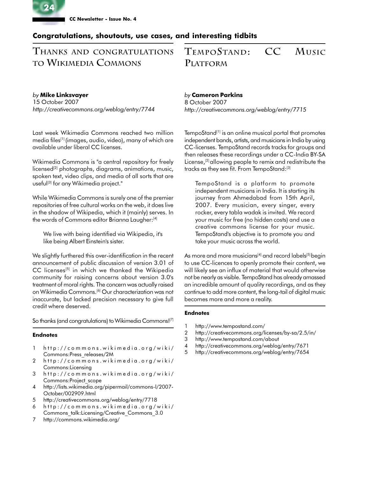

### Congratulations, shoutouts, use cases, and interesting tidbits

## THANKS AND CONGRATULATIONS TO WIKIMEDIA COMMONS

## TEMPOSTAND: CC MUSIC **PLATFORM**

by Mike Linksvayer 15 October 2007 http://creativecommons.org/weblog/entry/7744

Last week Wikimedia Commons reached two million media files[1] (images, audio, video), many of which are available under liberal CC licenses.

Wikimedia Commons is "a central repository for freely licensed<sup>[2]</sup> photographs, diagrams, animations, music, spoken text, video clips, and media of all sorts that are useful<sup>[3]</sup> for any Wikimedia project."

While Wikimedia Commons is surely one of the premier repositories of free cultural works on the web, it does live in the shadow of Wikipedia, which it (mainly) serves. In the words of Commons editor Brianna Laugher:[4]

We live with being identified via Wikipedia, it's like being Albert Einstein's sister.

We slightly furthered this over-identification in the recent announcement of public discussion of version 3.01 of CC licenses<sup>[5]</sup> in which we thanked the Wikipedia community for raising concerns about version 3.0's treatment of moral rights. The concern was actually raised on Wikimedia Commons.[6] Our characterization was not inaccurate, but lacked precision necessary to give full credit where deserved.

So thanks (and congratulations) to Wikimedia Commons!<sup>[7]</sup>

#### **Endnotes**

- 1 http://commons.wikimedia.org/wiki/ Commons:Press\_releases/2M
- 2 http://commons.wikimedia.org/wiki/ Commons:Licensing
- 3 http://commons.wikimedia.org/wiki/ Commons:Project\_scope
- 4 http://lists.wikimedia.org/pipermail/commons-l/2007- October/002909.html
- 5 http://creativecommons.org/weblog/entry/7718
- 6 http://commons.wikimedia.org/wiki/ Commons\_talk:Licensing/Creative\_Commons\_3.0
- 7 http://commons.wikimedia.org/

by Cameron Parkins 8 October 2007 http://creativecommons.org/weblog/entry/7715

TempoStand[1] is an online musical portal that promotes independent bands, artists, and musicians in India by using CC-licenses. TempoStand records tracks for groups and then releases these recordings under a CC-India BY-SA License,[2] allowing people to remix and redistribute the tracks as they see fit. From TempoStand:[3]

TempoStand is a platform to promote independent musicians in India. It is starting its journey from Ahmedabad from 15th April, 2007. Every musician, every singer, every rocker, every tabla wadak is invited. We record your music for free (no hidden costs) and use a creative commons license for your music. TempoStand's objective is to promote you and take your music across the world.

As more and more musicians<sup>[4]</sup> and record labels<sup>[5]</sup> begin to use CC-licences to openly promote their content, we will likely see an influx of material that would otherwise not be nearly as visible. TempoStand has already amassed an incredible amount of quality recordings, and as they continue to add more content, the long-tail of digital music becomes more and more a reality.

- 1 http://www.tempostand.com/
- 2 http://creativecommons.org/licenses/by-sa/2.5/in/
- 3 http://www.tempostand.com/about
- 4 http://creativecommons.org/weblog/entry/7671
- 5 http://creativecommons.org/weblog/entry/7654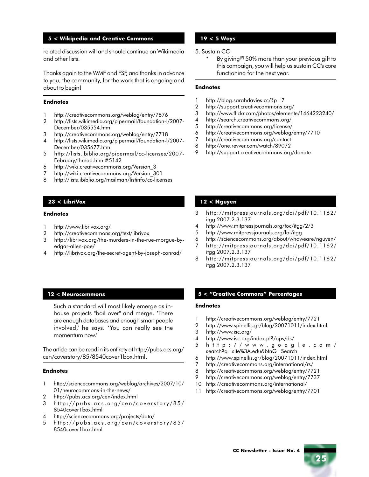#### 5 < Wikipedia and Creative Commons

related discussion will and should continue on Wikimedia and other lists.

Thanks again to the WMF and FSF, and thanks in advance to you, the community, for the work that is ongoing and about to begin!

#### **Endnotes**

- 1 http://creativecommons.org/weblog/entry/7876
- 2 http://lists.wikimedia.org/pipermail/foundation-l/2007- December/035554.html
- 3 http://creativecommons.org/weblog/entry/7718
- 4 http://lists.wikimedia.org/pipermail/foundation-l/2007- December/035677.html
- 5 http://lists.ibiblio.org/pipermail/cc-licenses/2007- February/thread.html#5142
- 6 http://wiki.creativecommons.org/Version\_3
- 7 http://wiki.creativecommons.org/Version\_301
- 8 http://lists.ibiblio.org/mailman/listinfo/cc-licenses

#### 23 < LibriVox

#### **Endnotes**

- 1 http://www.librivox.org/
- 2 http://creativecommons.org/text/librivox
- 3 http://librivox.org/the-murders-in-the-rue-morgue-byedgar-allen-poe/
- 4 http://librivox.org/the-secret-agent-by-joseph-conrad/

#### 19 < 5 Ways

#### 5. Sustain CC

By giving<sup>[9]</sup> 50% more than your previous gift to this campaign, you will help us sustain CC's core functioning for the next year.

#### **Endnotes**

- 1 http://blog.sarahdavies.cc/?p=7
- 2 http://support.creativecommons.org/
- 3 http://www.flickr.com/photos/elemente/1464223240/
- 4 http://search.creativecommons.org/
- 5 http://creativecommons.org/license/
- 6 http://creativecommons.org/weblog/entry/7710
- 7 http://creativecommons.org/contact
- 8 http://one.revver.com/watch/89072
- 9 http://support.creativecommons.org/donate

#### 12 < Nguyen

- 3 http://mitpressjournals.org/doi/pdf/10.1162/ itgg.2007.2.3.137
- 4 http://www.mitpressjournals.org/toc/itgg/2/3
- 5 http://www.mitpressjournals.org/loi/itgg
- 6 http://sciencecommons.org/about/whoweare/nguyen/
- 7 http://mitpressjournals.org/doi/pdf/10.1162/ itgg.2007.2.3.137
- 8 http://mitpressjournals.org/doi/pdf/10.1162/ itgg.2007.2.3.137

#### 12 < Neurocommons

Such a standard will most likely emerge as inhouse projects "boil over" and merge. 'There are enough databases and enough smart people involved,' he says. 'You can really see the momentum now.'

The article can be read in its entirety at http://pubs.acs.org/ cen/coverstory/85/8540cover1box.html.

#### **Endnotes**

- 1 http://sciencecommons.org/weblog/archives/2007/10/ 01/neurocommons-in-the-news/
- 2 http://pubs.acs.org/cen/index.html
- 3 http://pubs.acs.org/cen/coverstory/85/ 8540cover1box.html
- 4 http://sciencecommons.org/projects/data/
- 5 http://pubs.acs.org/cen/coverstory/85/ 8540cover1box.html

#### 5 < "Creative Commons" Percentages

- 1 http://creativecommons.org/weblog/entry/7721
- 2 http://www.spinellis.gr/blog/20071011/index.html
- 3 http://www.isc.org/
- 4 http://www.isc.org/index.pl?/ops/ds/
- 5 http://www .google.com/ search?q=site%3A.edu&btnG=Search
- 6 http://www.spinellis.gr/blog/20071011/index.html
- 7 http://creativecommons.org/international/rs/
- 8 http://creativecommons.org/weblog/entry/7721
- 9 http://creativecommons.org/weblog/entry/7737
- 10 http://creativecommons.org/international/
- 11 http://creativecommons.org/weblog/entry/7701